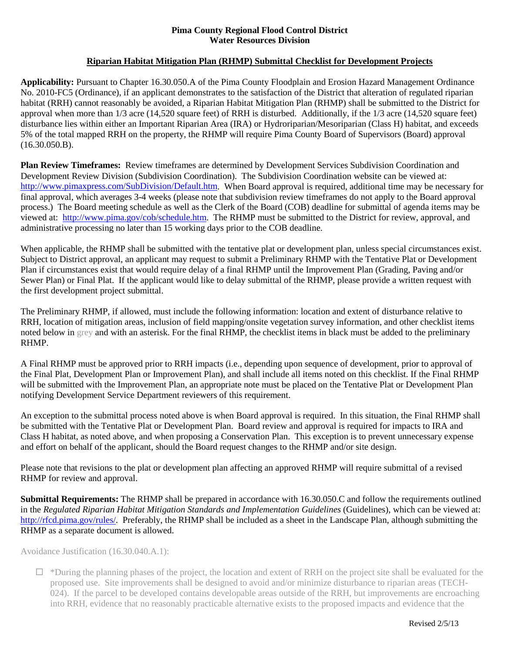## **Pima County Regional Flood Control District Water Resources Division**

## **Riparian Habitat Mitigation Plan (RHMP) Submittal Checklist for Development Projects**

**Applicability:** Pursuant to Chapter 16.30.050.A of the Pima County Floodplain and Erosion Hazard Management Ordinance No. 2010-FC5 (Ordinance), if an applicant demonstrates to the satisfaction of the District that alteration of regulated riparian habitat (RRH) cannot reasonably be avoided, a Riparian Habitat Mitigation Plan (RHMP) shall be submitted to the District for approval when more than 1/3 acre (14,520 square feet) of RRH is disturbed. Additionally, if the 1/3 acre (14,520 square feet) disturbance lies within either an Important Riparian Area (IRA) or Hydroriparian/Mesoriparian (Class H) habitat, and exceeds 5% of the total mapped RRH on the property, the RHMP will require Pima County Board of Supervisors (Board) approval (16.30.050.B).

**Plan Review Timeframes:** Review timeframes are determined by Development Services Subdivision Coordination and Development Review Division (Subdivision Coordination). The Subdivision Coordination website can be viewed at: http://www.pimaxpress.com/SubDivision/Default.htm. When Board approval is required, additional time may be necessary for final approval, which averages 3-4 weeks (please note that subdivision review timeframes do not apply to the Board approval process.) The Board meeting schedule as well as the Clerk of the Board (COB) deadline for submittal of agenda items may be viewed at: [http://www.pima.gov/cob/schedule.htm.](http://www.pima.gov/cob/schedule.htm) The RHMP must be submitted to the District for review, approval, and administrative processing no later than 15 working days prior to the COB deadline.

When applicable, the RHMP shall be submitted with the tentative plat or development plan, unless special circumstances exist. Subject to District approval, an applicant may request to submit a Preliminary RHMP with the Tentative Plat or Development Plan if circumstances exist that would require delay of a final RHMP until the Improvement Plan (Grading, Paving and/or Sewer Plan) or Final Plat. If the applicant would like to delay submittal of the RHMP, please provide a written request with the first development project submittal.

The Preliminary RHMP, if allowed, must include the following information: location and extent of disturbance relative to RRH, location of mitigation areas, inclusion of field mapping/onsite vegetation survey information, and other checklist items noted below in grey and with an asterisk. For the final RHMP, the checklist items in black must be added to the preliminary RHMP.

A Final RHMP must be approved prior to RRH impacts (i.e., depending upon sequence of development, prior to approval of the Final Plat, Development Plan or Improvement Plan), and shall include all items noted on this checklist. If the Final RHMP will be submitted with the Improvement Plan, an appropriate note must be placed on the Tentative Plat or Development Plan notifying Development Service Department reviewers of this requirement.

An exception to the submittal process noted above is when Board approval is required. In this situation, the Final RHMP shall be submitted with the Tentative Plat or Development Plan. Board review and approval is required for impacts to IRA and Class H habitat, as noted above, and when proposing a Conservation Plan. This exception is to prevent unnecessary expense and effort on behalf of the applicant, should the Board request changes to the RHMP and/or site design.

Please note that revisions to the plat or development plan affecting an approved RHMP will require submittal of a revised RHMP for review and approval.

**Submittal Requirements:** The RHMP shall be prepared in accordance with 16.30.050.C and follow the requirements outlined in the *Regulated Riparian Habitat Mitigation Standards and Implementation Guidelines* (Guidelines), which can be viewed at: [http://rfcd.pima.gov/rules/.](http://rfcd.pima.gov/rules/) Preferably, the RHMP shall be included as a sheet in the Landscape Plan, although submitting the RHMP as a separate document is allowed.

Avoidance Justification (16.30.040.A.1):

 $\Box$  \*During the planning phases of the project, the location and extent of RRH on the project site shall be evaluated for the proposed use. Site improvements shall be designed to avoid and/or minimize disturbance to riparian areas (TECH-024). If the parcel to be developed contains developable areas outside of the RRH, but improvements are encroaching into RRH, evidence that no reasonably practicable alternative exists to the proposed impacts and evidence that the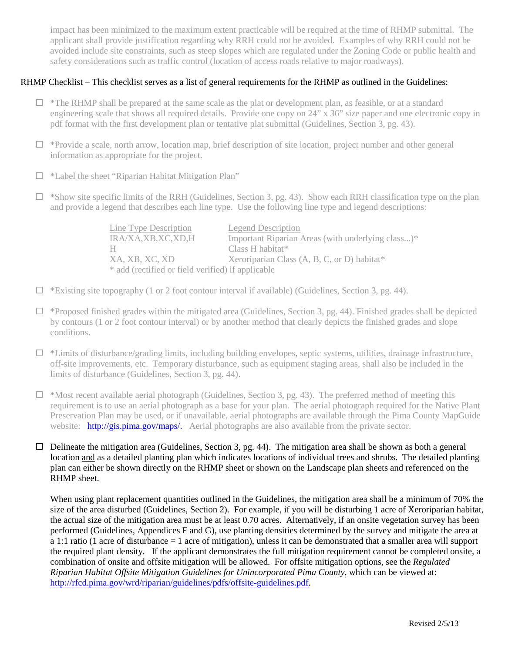impact has been minimized to the maximum extent practicable will be required at the time of RHMP submittal. The applicant shall provide justification regarding why RRH could not be avoided. Examples of why RRH could not be avoided include site constraints, such as steep slopes which are regulated under the Zoning Code or public health and safety considerations such as traffic control (location of access roads relative to major roadways).

## RHMP Checklist – This checklist serves as a list of general requirements for the RHMP as outlined in the Guidelines:

- $\Box$  \*The RHMP shall be prepared at the same scale as the plat or development plan, as feasible, or at a standard engineering scale that shows all required details. Provide one copy on 24" x 36" size paper and one electronic copy in pdf format with the first development plan or tentative plat submittal (Guidelines, Section 3, pg. 43).
- □ \*Provide a scale, north arrow, location map, brief description of site location, project number and other general information as appropriate for the project.
- $\Box$  \*Label the sheet "Riparian Habitat Mitigation Plan"
- $\Box$  \*Show site specific limits of the RRH (Guidelines, Section 3, pg. 43). Show each RRH classification type on the plan and provide a legend that describes each line type. Use the following line type and legend descriptions:

| Line Type Description                             | <b>Legend Description</b>                         |
|---------------------------------------------------|---------------------------------------------------|
| IRA/XA,XB,XC,XD,H                                 | Important Riparian Areas (with underlying class)* |
| Н.                                                | Class H habitat <sup>*</sup>                      |
| XA, XB, XC, XD                                    | Xeroriparian Class (A, B, C, or D) habitat*       |
| * add (rectified or field verified) if applicable |                                                   |

- $\Box$  \*Existing site topography (1 or 2 foot contour interval if available) (Guidelines, Section 3, pg. 44).
- $\Box$  \*Proposed finished grades within the mitigated area (Guidelines, Section 3, pg. 44). Finished grades shall be depicted by contours (1 or 2 foot contour interval) or by another method that clearly depicts the finished grades and slope conditions.
- $\Box$  \*Limits of disturbance/grading limits, including building envelopes, septic systems, utilities, drainage infrastructure, off-site improvements, etc. Temporary disturbance, such as equipment staging areas, shall also be included in the limits of disturbance (Guidelines, Section 3, pg. 44).
- $\Box$  \*Most recent available aerial photograph (Guidelines, Section 3, pg. 43). The preferred method of meeting this requirement is to use an aerial photograph as a base for your plan. The aerial photograph required for the Native Plant Preservation Plan may be used, or if unavailable, aerial photographs are available through the Pima County MapGuide website: http://gis.pima.gov/maps/. Aerial photographs are also available from the private sector.
- $\Box$  Delineate the mitigation area (Guidelines, Section 3, pg. 44). The mitigation area shall be shown as both a general location and as a detailed planting plan which indicates locations of individual trees and shrubs. The detailed planting plan can either be shown directly on the RHMP sheet or shown on the Landscape plan sheets and referenced on the RHMP sheet.

When using plant replacement quantities outlined in the Guidelines, the mitigation area shall be a minimum of 70% the size of the area disturbed (Guidelines, Section 2). For example, if you will be disturbing 1 acre of Xeroriparian habitat, the actual size of the mitigation area must be at least 0.70 acres. Alternatively, if an onsite vegetation survey has been performed (Guidelines, Appendices F and G), use planting densities determined by the survey and mitigate the area at a 1:1 ratio (1 acre of disturbance  $= 1$  acre of mitigation), unless it can be demonstrated that a smaller area will support the required plant density. If the applicant demonstrates the full mitigation requirement cannot be completed onsite, a combination of onsite and offsite mitigation will be allowed. For offsite mitigation options, see the *Regulated Riparian Habitat Offsite Mitigation Guidelines for Unincorporated Pima County*, which can be viewed at: [http://rfcd.pima.gov/wrd/riparian/guidelines/pdfs/offsite-guidelines.pdf.](http://rfcd.pima.gov/wrd/riparian/guidelines/pdfs/offsite-guidelines.pdf)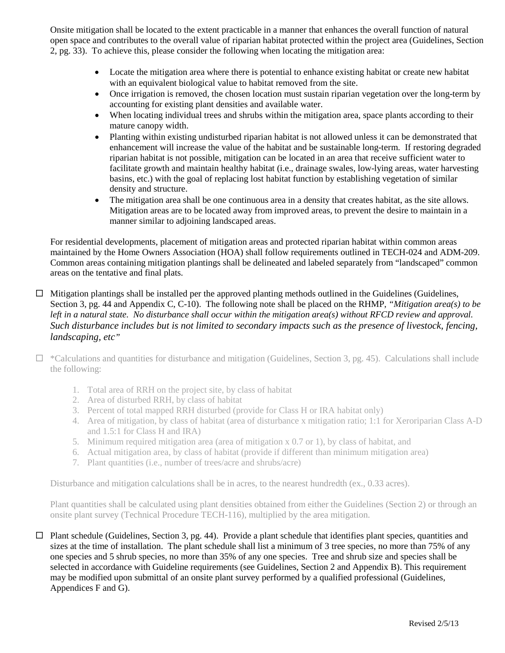Onsite mitigation shall be located to the extent practicable in a manner that enhances the overall function of natural open space and contributes to the overall value of riparian habitat protected within the project area (Guidelines, Section 2, pg. 33). To achieve this, please consider the following when locating the mitigation area:

- Locate the mitigation area where there is potential to enhance existing habitat or create new habitat with an equivalent biological value to habitat removed from the site.
- Once irrigation is removed, the chosen location must sustain riparian vegetation over the long-term by accounting for existing plant densities and available water.
- When locating individual trees and shrubs within the mitigation area, space plants according to their mature canopy width.
- Planting within existing undisturbed riparian habitat is not allowed unless it can be demonstrated that enhancement will increase the value of the habitat and be sustainable long-term. If restoring degraded riparian habitat is not possible, mitigation can be located in an area that receive sufficient water to facilitate growth and maintain healthy habitat (i.e., drainage swales, low-lying areas, water harvesting basins, etc.) with the goal of replacing lost habitat function by establishing vegetation of similar density and structure.
- The mitigation area shall be one continuous area in a density that creates habitat, as the site allows. Mitigation areas are to be located away from improved areas, to prevent the desire to maintain in a manner similar to adjoining landscaped areas.

For residential developments, placement of mitigation areas and protected riparian habitat within common areas maintained by the Home Owners Association (HOA) shall follow requirements outlined in TECH-024 and ADM-209. Common areas containing mitigation plantings shall be delineated and labeled separately from "landscaped" common areas on the tentative and final plats.

 $\Box$  Mitigation plantings shall be installed per the approved planting methods outlined in the Guidelines (Guidelines, Section 3, pg. 44 and Appendix C, C-10). The following note shall be placed on the RHMP, *"Mitigation area(s) to be*  left in a natural state. No disturbance shall occur within the mitigation area(s) without RFCD review and approval. *Such disturbance includes but is not limited to secondary impacts such as the presence of livestock, fencing, landscaping, etc"*

 $\Box$  \*Calculations and quantities for disturbance and mitigation (Guidelines, Section 3, pg. 45). Calculations shall include the following:

- 1. Total area of RRH on the project site, by class of habitat
- 2. Area of disturbed RRH, by class of habitat
- 3. Percent of total mapped RRH disturbed (provide for Class H or IRA habitat only)
- 4. Area of mitigation, by class of habitat (area of disturbance x mitigation ratio; 1:1 for Xeroriparian Class A-D and 1.5:1 for Class H and IRA)
- 5. Minimum required mitigation area (area of mitigation x 0.7 or 1), by class of habitat, and
- 6. Actual mitigation area, by class of habitat (provide if different than minimum mitigation area)
- 7. Plant quantities (i.e., number of trees/acre and shrubs/acre)

Disturbance and mitigation calculations shall be in acres, to the nearest hundredth (ex., 0.33 acres).

Plant quantities shall be calculated using plant densities obtained from either the Guidelines (Section 2) or through an onsite plant survey (Technical Procedure TECH-116), multiplied by the area mitigation.

 $\Box$  Plant schedule (Guidelines, Section 3, pg. 44). Provide a plant schedule that identifies plant species, quantities and sizes at the time of installation. The plant schedule shall list a minimum of 3 tree species, no more than 75% of any one species and 5 shrub species, no more than 35% of any one species. Tree and shrub size and species shall be selected in accordance with Guideline requirements (see Guidelines, Section 2 and Appendix B). This requirement may be modified upon submittal of an onsite plant survey performed by a qualified professional (Guidelines, Appendices F and G).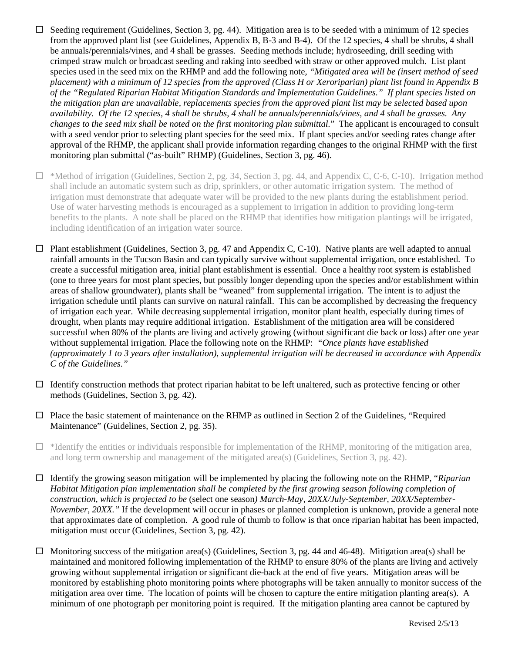- $\Box$  Seeding requirement (Guidelines, Section 3, pg. 44). Mitigation area is to be seeded with a minimum of 12 species from the approved plant list (see Guidelines, Appendix B, B-3 and B-4). Of the 12 species, 4 shall be shrubs, 4 shall be annuals/perennials/vines, and 4 shall be grasses. Seeding methods include; hydroseeding, drill seeding with crimped straw mulch or broadcast seeding and raking into seedbed with straw or other approved mulch. List plant species used in the seed mix on the RHMP and add the following note, *"Mitigated area will be (insert method of seed placement) with a minimum of 12 species from the approved (Class H or Xeroriparian) plant list found in Appendix B of the "Regulated Riparian Habitat Mitigation Standards and Implementation Guidelines." If plant species listed on the mitigation plan are unavailable, replacements species from the approved plant list may be selected based upon availability. Of the 12 species, 4 shall be shrubs, 4 shall be annuals/perennials/vines, and 4 shall be grasses. Any changes to the seed mix shall be noted on the first monitoring plan submittal.*" The applicant is encouraged to consult with a seed vendor prior to selecting plant species for the seed mix. If plant species and/or seeding rates change after approval of the RHMP, the applicant shall provide information regarding changes to the original RHMP with the first monitoring plan submittal ("as-built" RHMP) (Guidelines, Section 3, pg. 46).
- $\Box$  \*Method of irrigation (Guidelines, Section 2, pg. 34, Section 3, pg. 44, and Appendix C, C-6, C-10). Irrigation method shall include an automatic system such as drip, sprinklers, or other automatic irrigation system. The method of irrigation must demonstrate that adequate water will be provided to the new plants during the establishment period. Use of water harvesting methods is encouraged as a supplement to irrigation in addition to providing long-term benefits to the plants. A note shall be placed on the RHMP that identifies how mitigation plantings will be irrigated, including identification of an irrigation water source.
- $\Box$  Plant establishment (Guidelines, Section 3, pg. 47 and Appendix C, C-10). Native plants are well adapted to annual rainfall amounts in the Tucson Basin and can typically survive without supplemental irrigation, once established. To create a successful mitigation area, initial plant establishment is essential. Once a healthy root system is established (one to three years for most plant species, but possibly longer depending upon the species and/or establishment within areas of shallow groundwater), plants shall be "weaned" from supplemental irrigation. The intent is to adjust the irrigation schedule until plants can survive on natural rainfall. This can be accomplished by decreasing the frequency of irrigation each year. While decreasing supplemental irrigation, monitor plant health, especially during times of drought, when plants may require additional irrigation. Establishment of the mitigation area will be considered successful when 80% of the plants are living and actively growing (without significant die back or loss) after one year without supplemental irrigation. Place the following note on the RHMP: *"Once plants have established (approximately 1 to 3 years after installation), supplemental irrigation will be decreased in accordance with Appendix C of the Guidelines."*
- $\Box$  Identify construction methods that protect riparian habitat to be left unaltered, such as protective fencing or other methods (Guidelines, Section 3, pg. 42).
- $\Box$  Place the basic statement of maintenance on the RHMP as outlined in Section 2 of the Guidelines, "Required Maintenance" (Guidelines, Section 2, pg. 35).
- $\Box$  \*Identify the entities or individuals responsible for implementation of the RHMP, monitoring of the mitigation area, and long term ownership and management of the mitigated area(s) (Guidelines, Section 3, pg. 42).
- Identify the growing season mitigation will be implemented by placing the following note on the RHMP, "*Riparian Habitat Mitigation plan implementation shall be completed by the first growing season following completion of construction, which is projected to be* (select one season*) March-May, 20XX/July-September, 20XX/September-November, 20XX."* If the development will occur in phases or planned completion is unknown, provide a general note that approximates date of completion. A good rule of thumb to follow is that once riparian habitat has been impacted, mitigation must occur (Guidelines, Section 3, pg. 42).
- $\Box$  Monitoring success of the mitigation area(s) (Guidelines, Section 3, pg. 44 and 46-48). Mitigation area(s) shall be maintained and monitored following implementation of the RHMP to ensure 80% of the plants are living and actively growing without supplemental irrigation or significant die-back at the end of five years. Mitigation areas will be monitored by establishing photo monitoring points where photographs will be taken annually to monitor success of the mitigation area over time. The location of points will be chosen to capture the entire mitigation planting area(s). A minimum of one photograph per monitoring point is required. If the mitigation planting area cannot be captured by